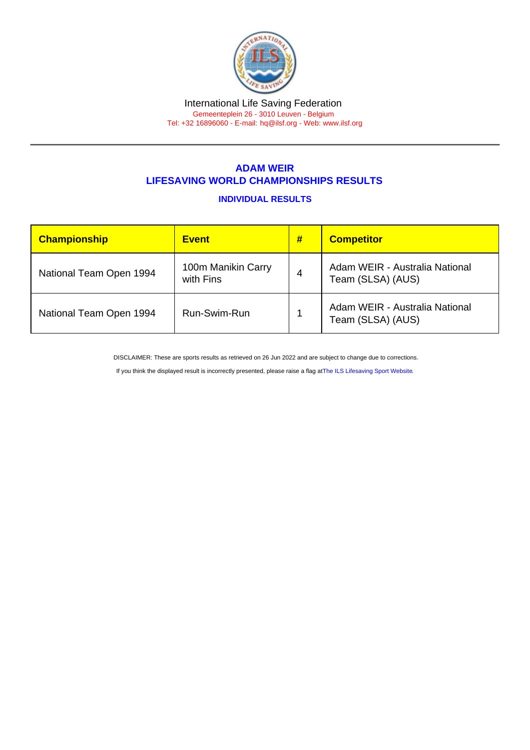# International Life Saving Federation

Gemeenteplein 26 - 3010 Leuven - Belgium Tel: +32 16896060 - E-mail: [hq@ilsf.org](mailto:hq@ilsf.org) - Web: [www.ilsf.org](https://www.ilsf.org)

## ADAM WEIR LIFESAVING WORLD CHAMPIONSHIPS RESULTS

### INDIVIDUAL RESULTS

| Championship            | Event                           | # | <b>Competitor</b>                                   |
|-------------------------|---------------------------------|---|-----------------------------------------------------|
| National Team Open 1994 | 100m Manikin Carry<br>with Fins | 4 | Adam WEIR - Australia National<br>Team (SLSA) (AUS) |
| National Team Open 1994 | Run-Swim-Run                    |   | Adam WEIR - Australia National<br>Team (SLSA) (AUS) |

DISCLAIMER: These are sports results as retrieved on 26 Jun 2022 and are subject to change due to corrections.

If you think the displayed result is incorrectly presented, please raise a flag at [The ILS Lifesaving Sport Website.](https://sport.ilsf.org)